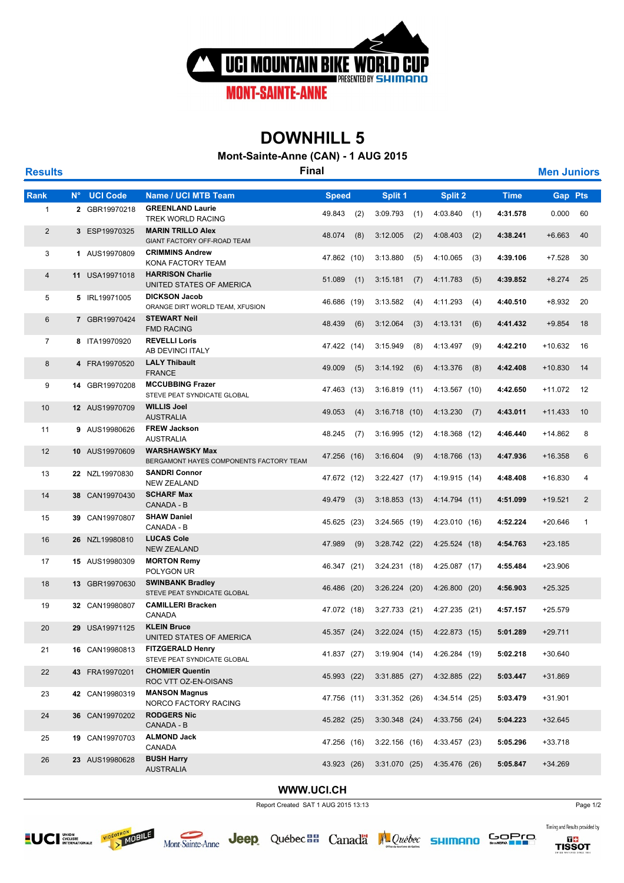

## **DOWNHILL 5**

**Mont-Sainte-Anne (CAN) - 1 AUG 2015**

| <b>Results</b> |             |                 | <b>Final</b>                                                     |              |     |                 |     |               |     |             | <b>Men Juniors</b> |              |
|----------------|-------------|-----------------|------------------------------------------------------------------|--------------|-----|-----------------|-----|---------------|-----|-------------|--------------------|--------------|
| Rank           | $N^{\circ}$ | <b>UCI Code</b> | <b>Name / UCI MTB Team</b>                                       | <b>Speed</b> |     | Split 1         |     | Split 2       |     | <b>Time</b> | <b>Gap Pts</b>     |              |
| 1              |             | 2 GBR19970218   | <b>GREENLAND Laurie</b><br>TREK WORLD RACING                     | 49.843       | (2) | 3:09.793        | (1) | 4:03.840      | (1) | 4:31.578    | 0.000              | 60           |
| $\overline{2}$ |             | 3 ESP19970325   | <b>MARIN TRILLO Alex</b><br>GIANT FACTORY OFF-ROAD TEAM          | 48.074       | (8) | 3:12.005        | (2) | 4:08.403      | (2) | 4:38.241    | $+6.663$           | 40           |
| 3              |             | 1 AUS19970809   | <b>CRIMMINS Andrew</b><br>KONA FACTORY TEAM                      | 47.862 (10)  |     | 3:13.880        | (5) | 4:10.065      | (3) | 4:39.106    | $+7.528$           | 30           |
| 4              |             | 11 USA19971018  | <b>HARRISON Charlie</b><br>UNITED STATES OF AMERICA              | 51.089       | (1) | 3:15.181        | (7) | 4:11.783      | (5) | 4:39.852    | $+8.274$           | 25           |
| 5              |             | 5 IRL19971005   | <b>DICKSON Jacob</b><br>ORANGE DIRT WORLD TEAM, XFUSION          | 46.686 (19)  |     | 3:13.582        | (4) | 4:11.293      | (4) | 4:40.510    | $+8.932$           | 20           |
| 6              |             | 7 GBR19970424   | <b>STEWART Neil</b><br><b>FMD RACING</b>                         | 48.439       | (6) | 3:12.064        | (3) | 4:13.131      | (6) | 4:41.432    | $+9.854$           | 18           |
| $\overline{7}$ |             | 8 ITA19970920   | <b>REVELLI Loris</b><br>AB DEVINCI ITALY                         | 47.422 (14)  |     | 3:15.949        | (8) | 4:13.497      | (9) | 4:42.210    | $+10.632$          | 16           |
| 8              |             | 4 FRA19970520   | <b>LALY Thibault</b><br><b>FRANCE</b>                            | 49.009       | (5) | 3:14.192        | (6) | 4:13.376      | (8) | 4:42.408    | $+10.830$          | 14           |
| 9              |             | 14 GBR19970208  | <b>MCCUBBING Frazer</b><br>STEVE PEAT SYNDICATE GLOBAL           | 47.463 (13)  |     | 3:16.819(11)    |     | 4:13.567 (10) |     | 4:42.650    | $+11.072$          | 12           |
| 10             |             | 12 AUS19970709  | <b>WILLIS Joel</b><br><b>AUSTRALIA</b>                           | 49.053       | (4) | $3:16.718$ (10) |     | 4:13.230      | (7) | 4:43.011    | $+11.433$          | 10           |
| 11             |             | 9 AUS19980626   | <b>FREW Jackson</b><br><b>AUSTRALIA</b>                          | 48.245       | (7) | 3:16.995(12)    |     | 4:18.368 (12) |     | 4:46.440    | $+14.862$          | 8            |
| 12             |             | 10 AUS19970609  | <b>WARSHAWSKY Max</b><br>BERGAMONT HAYES COMPONENTS FACTORY TEAM | 47.256 (16)  |     | $3:16.604$ (9)  |     | 4:18.766 (13) |     | 4:47.936    | +16.358            | 6            |
| 13             |             | 22 NZL19970830  | <b>SANDRI Connor</b><br><b>NEW ZEALAND</b>                       | 47.672 (12)  |     | 3:22.427(17)    |     | 4:19.915 (14) |     | 4:48.408    | +16.830            | 4            |
| 14             |             | 38 CAN19970430  | <b>SCHARF Max</b><br>CANADA - B                                  | 49.479       | (3) | 3:18.853(13)    |     | 4:14.794(11)  |     | 4:51.099    | $+19.521$          | 2            |
| 15             |             | 39 CAN19970807  | <b>SHAW Daniel</b><br>CANADA - B                                 | 45.625 (23)  |     | 3:24.565(19)    |     | 4:23.010 (16) |     | 4:52.224    | $+20.646$          | $\mathbf{1}$ |
| 16             |             | 26 NZL19980810  | <b>LUCAS Cole</b><br><b>NEW ZEALAND</b>                          | 47.989       | (9) | $3:28.742$ (22) |     | 4:25.524 (18) |     | 4:54.763    | $+23.185$          |              |
| 17             |             | 15 AUS19980309  | <b>MORTON Remy</b><br>POLYGON UR                                 | 46.347 (21)  |     | 3:24.231(18)    |     | 4:25.087 (17) |     | 4:55.484    | $+23.906$          |              |
| 18             |             | 13 GBR19970630  | <b>SWINBANK Bradley</b><br>STEVE PEAT SYNDICATE GLOBAL           | 46.486 (20)  |     | $3:26.224$ (20) |     | 4:26.800(20)  |     | 4:56.903    | $+25.325$          |              |
| 19             |             | 32 CAN19980807  | <b>CAMILLERI Bracken</b><br>CANADA                               | 47.072 (18)  |     | $3:27.733$ (21) |     | 4:27.235 (21) |     | 4:57.157    | $+25.579$          |              |
| 20             |             | 29 USA19971125  | <b>KLEIN Bruce</b><br>UNITED STATES OF AMERICA                   | 45.357 (24)  |     | 3:22.024(15)    |     | 4:22.873 (15) |     | 5:01.289    | $+29.711$          |              |
| 21             |             | 16 CAN19980813  | <b>FITZGERALD Henry</b><br>STEVE PEAT SYNDICATE GLOBAL           | 41.837 (27)  |     | 3:19.904(14)    |     | 4:26.284 (19) |     | 5:02.218    | $+30.640$          |              |
| 22             |             | 43 FRA19970201  | <b>CHOMIER Quentin</b><br>ROC VTT OZ-EN-OISANS                   | 45.993 (22)  |     | $3:31.885$ (27) |     | 4:32.885 (22) |     | 5:03.447    | +31.869            |              |
| 23             |             | 42 CAN19980319  | <b>MANSON Magnus</b><br>NORCO FACTORY RACING                     | 47.756 (11)  |     | $3:31.352$ (26) |     | 4:34.514 (25) |     | 5:03.479    | $+31.901$          |              |
| 24             |             | 36 CAN19970202  | <b>RODGERS Nic</b><br>CANADA - B                                 | 45.282 (25)  |     | $3:30.348$ (24) |     | 4:33.756 (24) |     | 5:04.223    | $+32.645$          |              |
| 25             |             | 19 CAN19970703  | <b>ALMOND Jack</b><br>CANADA                                     | 47.256 (16)  |     | 3:22.156(16)    |     | 4:33.457 (23) |     | 5:05.296    | $+33.718$          |              |
| 26             |             | 23 AUS19980628  | <b>BUSH Harry</b><br><b>AUSTRALIA</b>                            | 43.923 (26)  |     | 3:31.070(25)    |     | 4:35.476 (26) |     | 5:05.847    | $+34.269$          |              |

## **WWW.UCI.CH**

Report Created SAT 1 AUG 2015 13:13





Jeep Québec a Canada Al Québec SHIMANO SOPIO



Timing and Results provided by